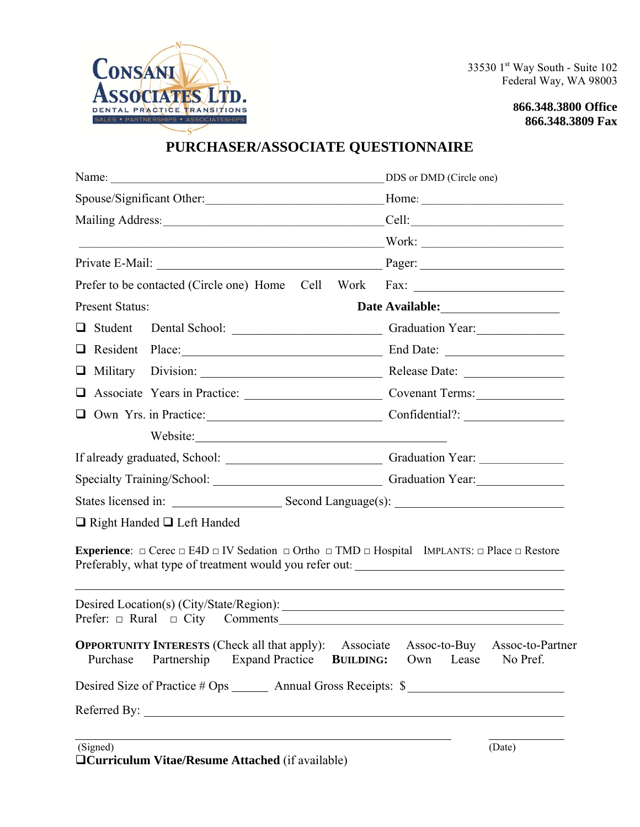

33530 1<sup>st</sup> Way South - Suite 102 Federal Way, WA 98003

> **866.348.3800 Office 866.348.3809 Fax**

## **PURCHASER/ASSOCIATE QUESTIONNAIRE**

|                        | Name: $\frac{1}{\sqrt{1-\frac{1}{2}}}\left\{ \frac{1}{2}, \frac{1}{2}, \frac{1}{2}, \frac{1}{2}, \frac{1}{2}, \frac{1}{2}, \frac{1}{2}, \frac{1}{2}, \frac{1}{2}, \frac{1}{2}, \frac{1}{2}, \frac{1}{2}, \frac{1}{2}, \frac{1}{2}, \frac{1}{2}, \frac{1}{2}, \frac{1}{2}, \frac{1}{2}, \frac{1}{2}, \frac{1}{2}, \frac{1}{2}, \frac{1}{2}, \frac{1}{2}, \frac{1}{2}, \frac{1}{2}, \frac{1}{2}, \frac{1}{2}, \frac{1}{$ | DDS or DMD (Circle one)                                |  |
|------------------------|------------------------------------------------------------------------------------------------------------------------------------------------------------------------------------------------------------------------------------------------------------------------------------------------------------------------------------------------------------------------------------------------------------------------|--------------------------------------------------------|--|
|                        |                                                                                                                                                                                                                                                                                                                                                                                                                        |                                                        |  |
|                        |                                                                                                                                                                                                                                                                                                                                                                                                                        |                                                        |  |
|                        |                                                                                                                                                                                                                                                                                                                                                                                                                        |                                                        |  |
|                        |                                                                                                                                                                                                                                                                                                                                                                                                                        |                                                        |  |
|                        | Prefer to be contacted (Circle one) Home Cell Work                                                                                                                                                                                                                                                                                                                                                                     |                                                        |  |
| <b>Present Status:</b> |                                                                                                                                                                                                                                                                                                                                                                                                                        |                                                        |  |
| ⊔                      | Student Dental School: Channel Contains Containers Containers Containers Containers Containers Containers Containers Containers Containers Containers Containers Containers Containers Containers Containers Containers Contai                                                                                                                                                                                         |                                                        |  |
| ⊔                      | Resident Place:                                                                                                                                                                                                                                                                                                                                                                                                        |                                                        |  |
| $\Box$                 |                                                                                                                                                                                                                                                                                                                                                                                                                        |                                                        |  |
| $\Box$                 |                                                                                                                                                                                                                                                                                                                                                                                                                        | Covenant Terms:                                        |  |
|                        | Own Yrs. in Practice: Confidential?:                                                                                                                                                                                                                                                                                                                                                                                   |                                                        |  |
|                        | Website:                                                                                                                                                                                                                                                                                                                                                                                                               |                                                        |  |
|                        |                                                                                                                                                                                                                                                                                                                                                                                                                        |                                                        |  |
|                        | Specialty Training/School: Charles Graduation Year:                                                                                                                                                                                                                                                                                                                                                                    |                                                        |  |
|                        |                                                                                                                                                                                                                                                                                                                                                                                                                        |                                                        |  |
|                        | $\Box$ Right Handed $\Box$ Left Handed                                                                                                                                                                                                                                                                                                                                                                                 |                                                        |  |
|                        | <b>Experience</b> : $\Box$ Cerec $\Box$ E4D $\Box$ IV Sedation $\Box$ Ortho $\Box$ TMD $\Box$ Hospital IMPLANTS: $\Box$ Place $\Box$ Restore<br>Preferably, what type of treatment would you refer out:                                                                                                                                                                                                                |                                                        |  |
|                        |                                                                                                                                                                                                                                                                                                                                                                                                                        |                                                        |  |
| Purchase               | <b>OPPORTUNITY INTERESTS</b> (Check all that apply): Associate<br>Partnership<br><b>Expand Practice BUILDING:</b>                                                                                                                                                                                                                                                                                                      | Assoc-to-Buy Assoc-to-Partner<br>Own Lease<br>No Pref. |  |
|                        | Desired Size of Practice # Ops ________ Annual Gross Receipts: \$                                                                                                                                                                                                                                                                                                                                                      |                                                        |  |
|                        | Referred By:                                                                                                                                                                                                                                                                                                                                                                                                           |                                                        |  |
| (Signed)               | <b>QCurriculum Vitae/Resume Attached (if available)</b>                                                                                                                                                                                                                                                                                                                                                                | (Date)                                                 |  |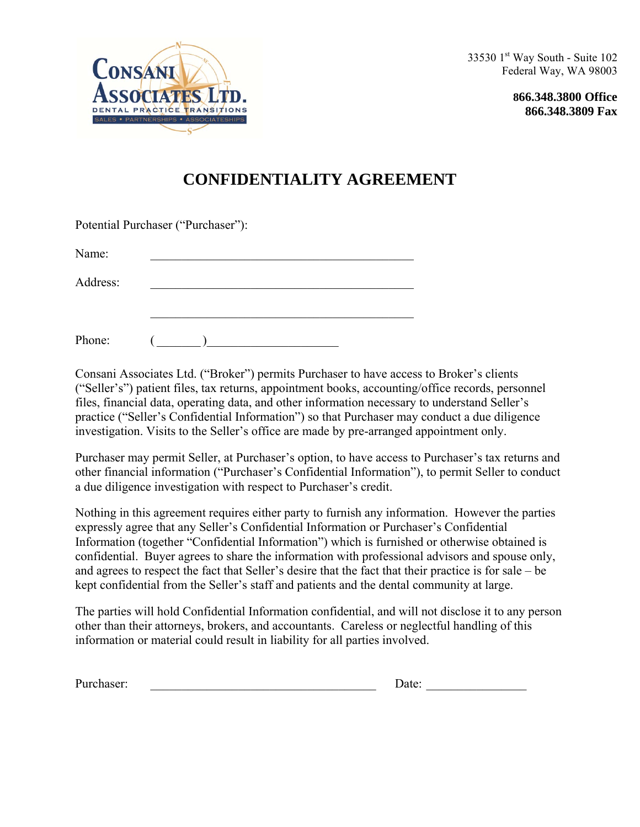

**866.348.3800 Office 866.348.3809 Fax** 



Potential Purchaser ("Purchaser"):

## **CONFIDENTIALITY AGREEMENT**

| Name:    |  |
|----------|--|
| Address: |  |
|          |  |
| Phone:   |  |

Consani Associates Ltd. ("Broker") permits Purchaser to have access to Broker's clients ("Seller's") patient files, tax returns, appointment books, accounting/office records, personnel files, financial data, operating data, and other information necessary to understand Seller's practice ("Seller's Confidential Information") so that Purchaser may conduct a due diligence investigation. Visits to the Seller's office are made by pre-arranged appointment only.

Purchaser may permit Seller, at Purchaser's option, to have access to Purchaser's tax returns and other financial information ("Purchaser's Confidential Information"), to permit Seller to conduct a due diligence investigation with respect to Purchaser's credit.

Nothing in this agreement requires either party to furnish any information. However the parties expressly agree that any Seller's Confidential Information or Purchaser's Confidential Information (together "Confidential Information") which is furnished or otherwise obtained is confidential. Buyer agrees to share the information with professional advisors and spouse only, and agrees to respect the fact that Seller's desire that the fact that their practice is for sale – be kept confidential from the Seller's staff and patients and the dental community at large.

The parties will hold Confidential Information confidential, and will not disclose it to any person other than their attorneys, brokers, and accountants. Careless or neglectful handling of this information or material could result in liability for all parties involved.

| Purchaser: | Jate: |  |
|------------|-------|--|
|            |       |  |